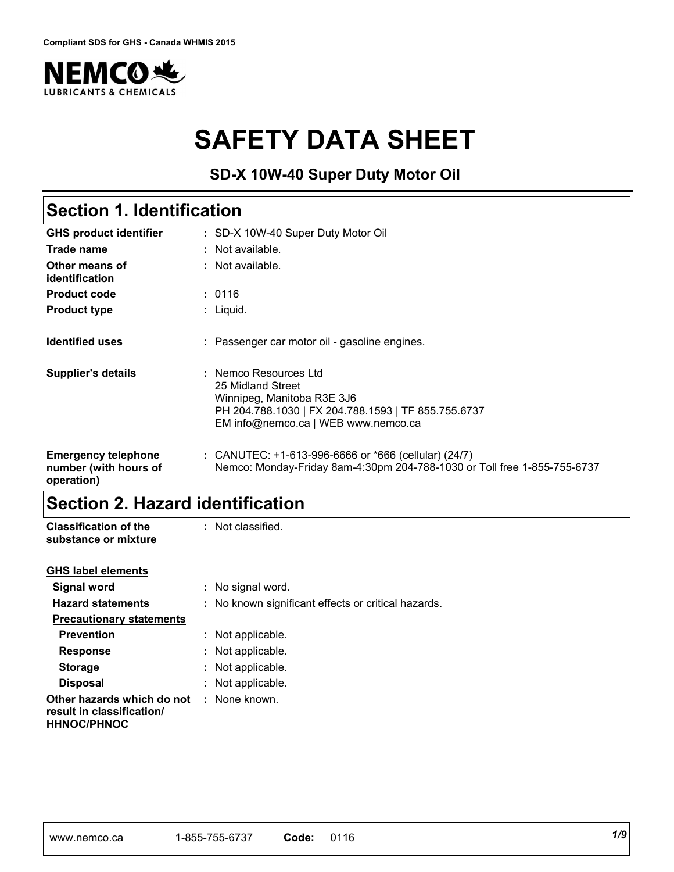

# **SAFETY DATA SHEET**

**SD-X 10W-40 Super Duty Motor Oil**

# **Section 1. Identification**

| <b>GHS product identifier</b>                                     | : SD-X 10W-40 Super Duty Motor Oil                                                                                                                                     |
|-------------------------------------------------------------------|------------------------------------------------------------------------------------------------------------------------------------------------------------------------|
| Trade name                                                        | $\therefore$ Not available.                                                                                                                                            |
| Other means of<br>identification                                  | : Not available.                                                                                                                                                       |
| <b>Product code</b>                                               | : 0116                                                                                                                                                                 |
| <b>Product type</b>                                               | $:$ Liquid.                                                                                                                                                            |
| <b>Identified uses</b>                                            | : Passenger car motor oil - gasoline engines.                                                                                                                          |
| <b>Supplier's details</b>                                         | : Nemco Resources Ltd<br>25 Midland Street<br>Winnipeg, Manitoba R3E 3J6<br>PH 204.788.1030   FX 204.788.1593   TF 855.755.6737<br>EM info@nemco.ca   WEB www.nemco.ca |
| <b>Emergency telephone</b><br>number (with hours of<br>operation) | : CANUTEC: $+1-613-996-6666$ or $*666$ (cellular) (24/7)<br>Nemco: Monday-Friday 8am-4:30pm 204-788-1030 or Toll free 1-855-755-6737                                   |

### **Section 2. Hazard identification**

| <b>Classification of the</b><br>substance or mixture                          | : Not classified.                                   |
|-------------------------------------------------------------------------------|-----------------------------------------------------|
| <b>GHS label elements</b>                                                     |                                                     |
| Signal word                                                                   | : No signal word.                                   |
| <b>Hazard statements</b>                                                      | : No known significant effects or critical hazards. |
| <b>Precautionary statements</b>                                               |                                                     |
| <b>Prevention</b>                                                             | : Not applicable.                                   |
| <b>Response</b>                                                               | : Not applicable.                                   |
| <b>Storage</b>                                                                | : Not applicable.                                   |
| <b>Disposal</b>                                                               | : Not applicable.                                   |
| Other hazards which do not<br>result in classification/<br><b>HHNOC/PHNOC</b> | : None known.                                       |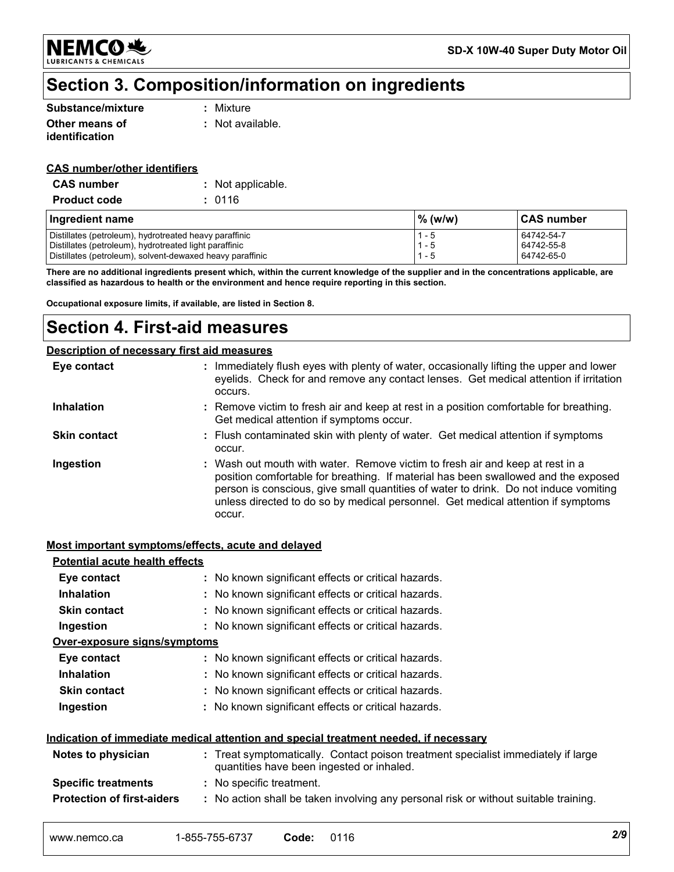

### **Section 3. Composition/information on ingredients**

| Substance/mixture | : Mixture        |
|-------------------|------------------|
| Other means of    | : Not available. |
| identification    |                  |

#### **CAS number/other identifiers**

| <b>CAS number</b>   | : Not applicable. |
|---------------------|-------------------|
| <b>Product code</b> | : 0116            |

| Ingredient name                                           | $\%$ (w/w) | <b>CAS number</b> |
|-----------------------------------------------------------|------------|-------------------|
| Distillates (petroleum), hydrotreated heavy paraffinic    | $1 - 5$    | 64742-54-7        |
| Distillates (petroleum), hydrotreated light paraffinic    | $1 - 5$    | 64742-55-8        |
| Distillates (petroleum), solvent-dewaxed heavy paraffinic | - 5        | 64742-65-0        |

**There are no additional ingredients present which, within the current knowledge of the supplier and in the concentrations applicable, are classified as hazardous to health or the environment and hence require reporting in this section.**

**Occupational exposure limits, if available, are listed in Section 8.**

### **Section 4. First-aid measures**

#### **Description of necessary first aid measures**

| Eye contact         | : Immediately flush eyes with plenty of water, occasionally lifting the upper and lower<br>eyelids. Check for and remove any contact lenses. Get medical attention if irritation<br>occurs.                                                                                                                                                               |
|---------------------|-----------------------------------------------------------------------------------------------------------------------------------------------------------------------------------------------------------------------------------------------------------------------------------------------------------------------------------------------------------|
| <b>Inhalation</b>   | : Remove victim to fresh air and keep at rest in a position comfortable for breathing.<br>Get medical attention if symptoms occur.                                                                                                                                                                                                                        |
| <b>Skin contact</b> | : Flush contaminated skin with plenty of water. Get medical attention if symptoms<br>occur.                                                                                                                                                                                                                                                               |
| Ingestion           | : Wash out mouth with water. Remove victim to fresh air and keep at rest in a<br>position comfortable for breathing. If material has been swallowed and the exposed<br>person is conscious, give small quantities of water to drink. Do not induce vomiting<br>unless directed to do so by medical personnel. Get medical attention if symptoms<br>occur. |

#### **Most important symptoms/effects, acute and delayed**

| <b>Potential acute health effects</b>                                                       |                                                                                                                                |  |  |
|---------------------------------------------------------------------------------------------|--------------------------------------------------------------------------------------------------------------------------------|--|--|
| Eye contact                                                                                 | : No known significant effects or critical hazards.                                                                            |  |  |
| <b>Inhalation</b>                                                                           | : No known significant effects or critical hazards.                                                                            |  |  |
| <b>Skin contact</b>                                                                         | : No known significant effects or critical hazards.                                                                            |  |  |
| Ingestion                                                                                   | : No known significant effects or critical hazards.                                                                            |  |  |
| <u>Over-exposure signs/symptoms</u>                                                         |                                                                                                                                |  |  |
| Eye contact                                                                                 | : No known significant effects or critical hazards.                                                                            |  |  |
| <b>Inhalation</b>                                                                           | : No known significant effects or critical hazards.                                                                            |  |  |
| <b>Skin contact</b>                                                                         | : No known significant effects or critical hazards.                                                                            |  |  |
| Ingestion                                                                                   | : No known significant effects or critical hazards.                                                                            |  |  |
| <u>Indication of immediate medical attention and special treatment needed, if necessary</u> |                                                                                                                                |  |  |
| Notes to physician                                                                          | : Treat symptomatically. Contact poison treatment specialist immediately if large<br>quantities have been ingested or inhaled. |  |  |
| <b>Specific treatments</b>                                                                  | : No specific treatment.                                                                                                       |  |  |
| <b>Protection of first-aiders</b>                                                           | : No action shall be taken involving any personal risk or without suitable training.                                           |  |  |
|                                                                                             |                                                                                                                                |  |  |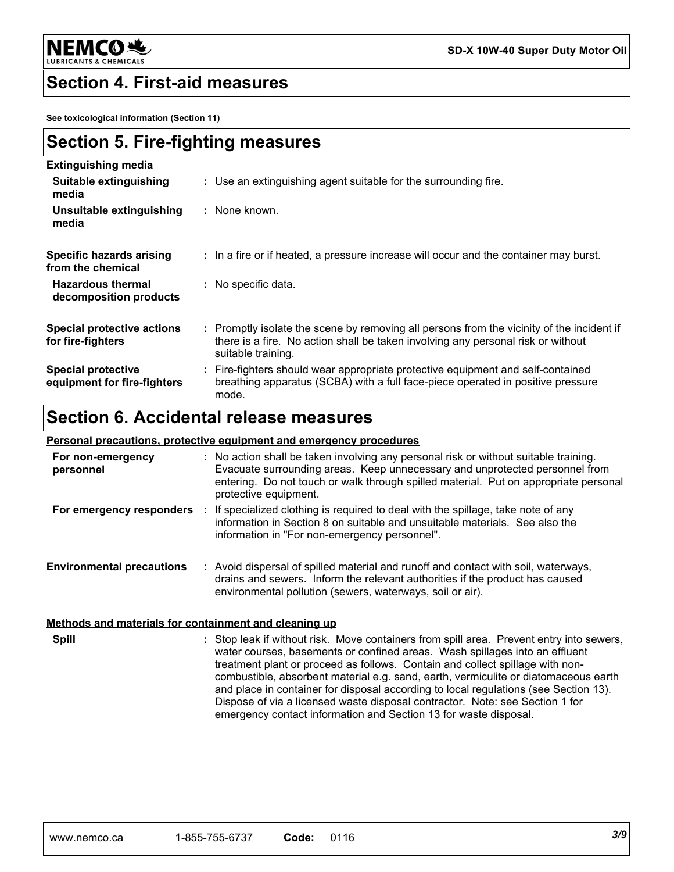

### **Section 4. First-aid measures**

**See toxicological information (Section 11)**

| <b>Section 5. Fire-fighting measures</b> |  |
|------------------------------------------|--|
|------------------------------------------|--|

| <b>Extinguishing media</b>                               |                                                                                                                                                                                                     |
|----------------------------------------------------------|-----------------------------------------------------------------------------------------------------------------------------------------------------------------------------------------------------|
| Suitable extinguishing<br>media                          | : Use an extinguishing agent suitable for the surrounding fire.                                                                                                                                     |
| Unsuitable extinguishing<br>media                        | : None known.                                                                                                                                                                                       |
| Specific hazards arising<br>from the chemical            | : In a fire or if heated, a pressure increase will occur and the container may burst.                                                                                                               |
| <b>Hazardous thermal</b><br>decomposition products       | : No specific data.                                                                                                                                                                                 |
| <b>Special protective actions</b><br>for fire-fighters   | : Promptly isolate the scene by removing all persons from the vicinity of the incident if<br>there is a fire. No action shall be taken involving any personal risk or without<br>suitable training. |
| <b>Special protective</b><br>equipment for fire-fighters | : Fire-fighters should wear appropriate protective equipment and self-contained<br>breathing apparatus (SCBA) with a full face-piece operated in positive pressure<br>mode.                         |

### **Section 6. Accidental release measures**

#### **Personal precautions, protective equipment and emergency procedures**

| For non-emergency<br>personnel   | : No action shall be taken involving any personal risk or without suitable training.<br>Evacuate surrounding areas. Keep unnecessary and unprotected personnel from<br>entering. Do not touch or walk through spilled material. Put on appropriate personal<br>protective equipment. |
|----------------------------------|--------------------------------------------------------------------------------------------------------------------------------------------------------------------------------------------------------------------------------------------------------------------------------------|
| For emergency responders         | If specialized clothing is required to deal with the spillage, take note of any<br>information in Section 8 on suitable and unsuitable materials. See also the<br>information in "For non-emergency personnel".                                                                      |
| <b>Environmental precautions</b> | : Avoid dispersal of spilled material and runoff and contact with soil, waterways,<br>drains and sewers. Inform the relevant authorities if the product has caused<br>environmental pollution (sewers, waterways, soil or air).                                                      |

#### **Methods and materials for containment and cleaning up**

Stop leak if without risk. Move containers from spill area. Prevent entry into sewers, **:** water courses, basements or confined areas. Wash spillages into an effluent treatment plant or proceed as follows. Contain and collect spillage with noncombustible, absorbent material e.g. sand, earth, vermiculite or diatomaceous earth and place in container for disposal according to local regulations (see Section 13). Dispose of via a licensed waste disposal contractor. Note: see Section 1 for emergency contact information and Section 13 for waste disposal. **Spill**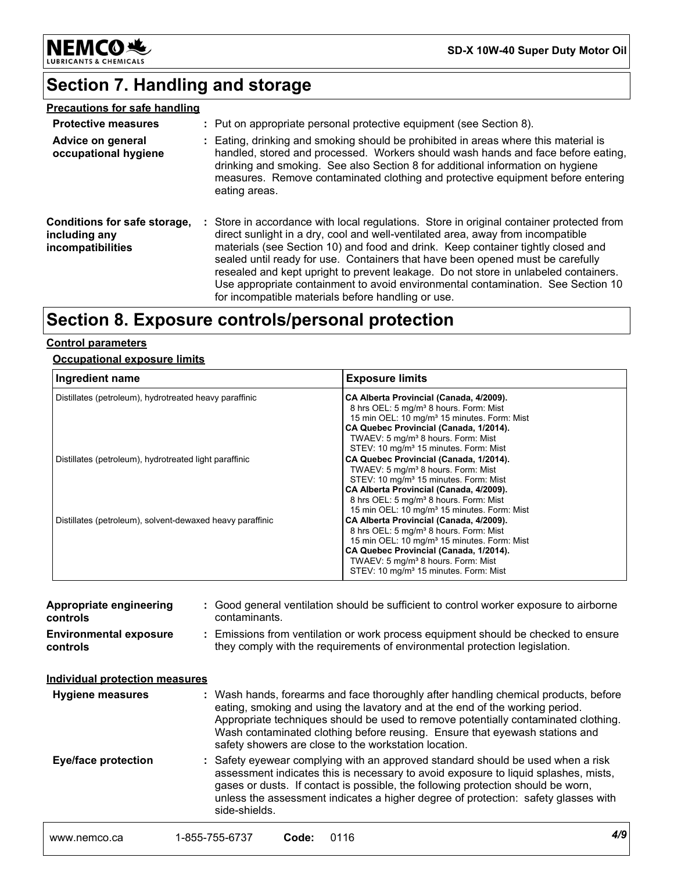

**SD-X 10W-40 Super Duty Motor Oil**

# **Section 7. Handling and storage**

| <b>Precautions for safe handling</b>                               |                                                                                                                                                                                                                                                                                                                                                                                                                                                                                                                                                                                    |
|--------------------------------------------------------------------|------------------------------------------------------------------------------------------------------------------------------------------------------------------------------------------------------------------------------------------------------------------------------------------------------------------------------------------------------------------------------------------------------------------------------------------------------------------------------------------------------------------------------------------------------------------------------------|
| <b>Protective measures</b>                                         | : Put on appropriate personal protective equipment (see Section 8).                                                                                                                                                                                                                                                                                                                                                                                                                                                                                                                |
| Advice on general<br>occupational hygiene                          | : Eating, drinking and smoking should be prohibited in areas where this material is<br>handled, stored and processed. Workers should wash hands and face before eating,<br>drinking and smoking. See also Section 8 for additional information on hygiene<br>measures. Remove contaminated clothing and protective equipment before entering<br>eating areas.                                                                                                                                                                                                                      |
| Conditions for safe storage,<br>including any<br>incompatibilities | : Store in accordance with local regulations. Store in original container protected from<br>direct sunlight in a dry, cool and well-ventilated area, away from incompatible<br>materials (see Section 10) and food and drink. Keep container tightly closed and<br>sealed until ready for use. Containers that have been opened must be carefully<br>resealed and kept upright to prevent leakage. Do not store in unlabeled containers.<br>Use appropriate containment to avoid environmental contamination. See Section 10<br>for incompatible materials before handling or use. |

## **Section 8. Exposure controls/personal protection**

#### **Control parameters**

#### **Occupational exposure limits**

| Ingredient name                                           | <b>Exposure limits</b>                                                                                                                                                                                                                                                                                    |
|-----------------------------------------------------------|-----------------------------------------------------------------------------------------------------------------------------------------------------------------------------------------------------------------------------------------------------------------------------------------------------------|
| Distillates (petroleum), hydrotreated heavy paraffinic    | CA Alberta Provincial (Canada, 4/2009).<br>8 hrs OEL: 5 mg/m <sup>3</sup> 8 hours. Form: Mist<br>15 min OEL: 10 mg/m <sup>3</sup> 15 minutes. Form: Mist<br>CA Quebec Provincial (Canada, 1/2014).<br>TWAEV: 5 mg/m <sup>3</sup> 8 hours. Form: Mist<br>STEV: 10 mg/m <sup>3</sup> 15 minutes. Form: Mist |
| Distillates (petroleum), hydrotreated light paraffinic    | CA Quebec Provincial (Canada, 1/2014).<br>TWAEV: 5 mg/m <sup>3</sup> 8 hours. Form: Mist<br>STEV: 10 mg/m <sup>3</sup> 15 minutes. Form: Mist<br>CA Alberta Provincial (Canada, 4/2009).<br>8 hrs OEL: 5 mg/m <sup>3</sup> 8 hours. Form: Mist<br>15 min OEL: 10 mg/m <sup>3</sup> 15 minutes. Form: Mist |
| Distillates (petroleum), solvent-dewaxed heavy paraffinic | CA Alberta Provincial (Canada, 4/2009).<br>8 hrs OEL: 5 mg/m <sup>3</sup> 8 hours. Form: Mist<br>15 min OEL: 10 mg/m <sup>3</sup> 15 minutes. Form: Mist<br>CA Quebec Provincial (Canada, 1/2014).<br>TWAEV: 5 mg/m <sup>3</sup> 8 hours. Form: Mist<br>STEV: 10 mg/m <sup>3</sup> 15 minutes. Form: Mist |

| Appropriate engineering<br>controls       | : Good general ventilation should be sufficient to control worker exposure to airborne<br>contaminants.                                                                                                                                                                                                                                                                                           |
|-------------------------------------------|---------------------------------------------------------------------------------------------------------------------------------------------------------------------------------------------------------------------------------------------------------------------------------------------------------------------------------------------------------------------------------------------------|
| <b>Environmental exposure</b><br>controls | : Emissions from ventilation or work process equipment should be checked to ensure<br>they comply with the requirements of environmental protection legislation.                                                                                                                                                                                                                                  |
| <b>Individual protection measures</b>     |                                                                                                                                                                                                                                                                                                                                                                                                   |
| <b>Hygiene measures</b>                   | : Wash hands, forearms and face thoroughly after handling chemical products, before<br>eating, smoking and using the lavatory and at the end of the working period.<br>Appropriate techniques should be used to remove potentially contaminated clothing.<br>Wash contaminated clothing before reusing. Ensure that eyewash stations and<br>safety showers are close to the workstation location. |
| <b>Eye/face protection</b>                | : Safety eyewear complying with an approved standard should be used when a risk<br>assessment indicates this is necessary to avoid exposure to liquid splashes, mists,<br>gases or dusts. If contact is possible, the following protection should be worn,<br>unless the assessment indicates a higher degree of protection: safety glasses with<br>side-shields.                                 |
| www.nemco.ca                              | 4/9<br>1-855-755-6737<br>0116<br>Code:                                                                                                                                                                                                                                                                                                                                                            |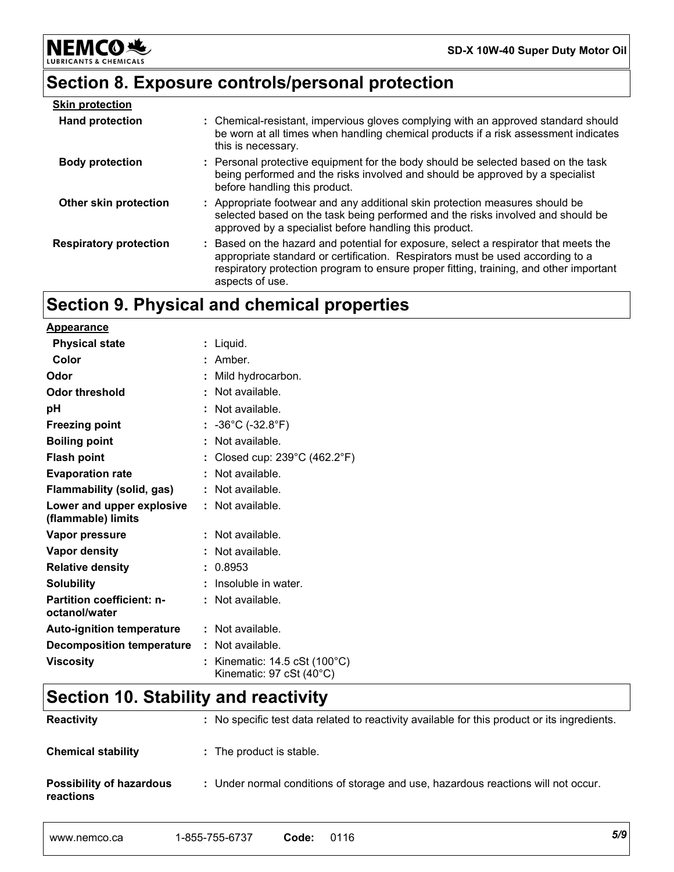# **Section 8. Exposure controls/personal protection**

| <b>Skin protection</b>        |                                                                                                                                                                                                                                                                                     |
|-------------------------------|-------------------------------------------------------------------------------------------------------------------------------------------------------------------------------------------------------------------------------------------------------------------------------------|
| <b>Hand protection</b>        | : Chemical-resistant, impervious gloves complying with an approved standard should<br>be worn at all times when handling chemical products if a risk assessment indicates<br>this is necessary.                                                                                     |
| <b>Body protection</b>        | : Personal protective equipment for the body should be selected based on the task<br>being performed and the risks involved and should be approved by a specialist<br>before handling this product.                                                                                 |
| Other skin protection         | : Appropriate footwear and any additional skin protection measures should be<br>selected based on the task being performed and the risks involved and should be<br>approved by a specialist before handling this product.                                                           |
| <b>Respiratory protection</b> | : Based on the hazard and potential for exposure, select a respirator that meets the<br>appropriate standard or certification. Respirators must be used according to a<br>respiratory protection program to ensure proper fitting, training, and other important<br>aspects of use. |

# **Section 9. Physical and chemical properties**

**Appearance**

**NEMCO头** 

& CHEMICALS

LUBRIC

| <u>Appearance</u>                                 |                                                                                     |
|---------------------------------------------------|-------------------------------------------------------------------------------------|
| <b>Physical state</b>                             | : Liquid.                                                                           |
| Color                                             | : Amber.                                                                            |
| Odor                                              | : Mild hydrocarbon.                                                                 |
| Odor threshold                                    | : Not available.                                                                    |
| рH                                                | : Not available.                                                                    |
| <b>Freezing point</b>                             | : $-36^{\circ}$ C (-32.8 $^{\circ}$ F)                                              |
| <b>Boiling point</b>                              | : Not available.                                                                    |
| <b>Flash point</b>                                | : Closed cup: $239^{\circ}$ C (462.2 $^{\circ}$ F)                                  |
| <b>Evaporation rate</b>                           | : Not available.                                                                    |
| Flammability (solid, gas)                         | : Not available.                                                                    |
| Lower and upper explosive<br>(flammable) limits   | : Not available.                                                                    |
| Vapor pressure                                    | : Not available.                                                                    |
| <b>Vapor density</b>                              | : Not available.                                                                    |
| <b>Relative density</b>                           | : 0.8953                                                                            |
| <b>Solubility</b>                                 | Insoluble in water.                                                                 |
| <b>Partition coefficient: n-</b><br>octanol/water | : Not available.                                                                    |
| <b>Auto-ignition temperature</b>                  | : Not available.                                                                    |
| <b>Decomposition temperature</b>                  | $:$ Not available.                                                                  |
| <b>Viscosity</b>                                  | : Kinematic: $14.5 \text{ cSt } (100^{\circ} \text{C})$<br>Kinematic: 97 cSt (40°C) |

# **Section 10. Stability and reactivity**

| <b>Reactivity</b>                            | : No specific test data related to reactivity available for this product or its ingredients. |
|----------------------------------------------|----------------------------------------------------------------------------------------------|
| <b>Chemical stability</b>                    | : The product is stable.                                                                     |
| <b>Possibility of hazardous</b><br>reactions | : Under normal conditions of storage and use, hazardous reactions will not occur.            |

| 5/9 | ' 16<br>11.<br>$\cdot$ | Code | 1-855-755-6737<br>'55-673. | www.nemco.ca |
|-----|------------------------|------|----------------------------|--------------|
|-----|------------------------|------|----------------------------|--------------|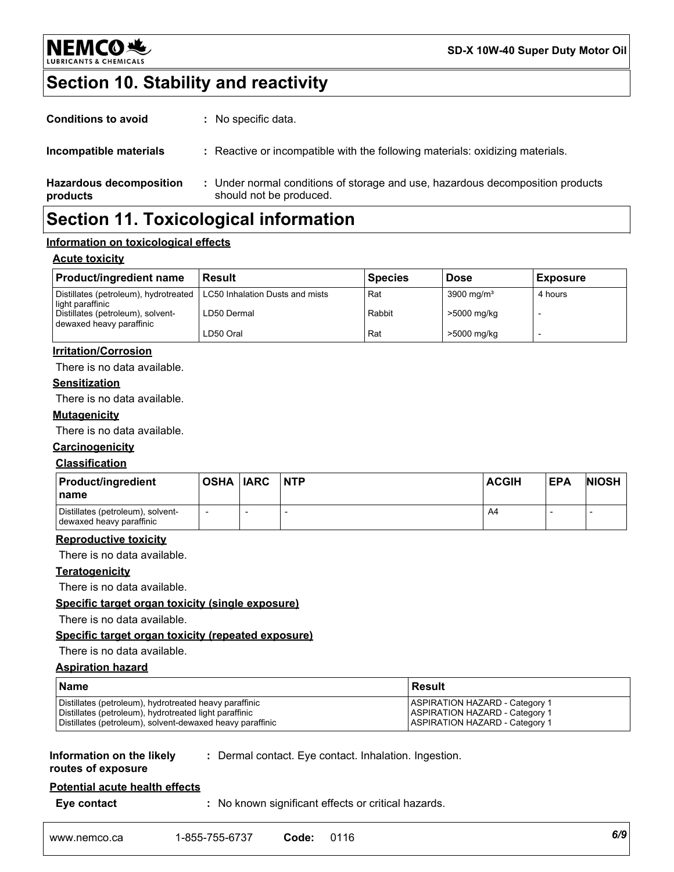

# **Section 10. Stability and reactivity**

| <b>Conditions to avoid</b>                 | : No specific data.                                                                                       |
|--------------------------------------------|-----------------------------------------------------------------------------------------------------------|
| Incompatible materials                     | : Reactive or incompatible with the following materials: oxidizing materials.                             |
| <b>Hazardous decomposition</b><br>products | : Under normal conditions of storage and use, hazardous decomposition products<br>should not be produced. |
|                                            |                                                                                                           |

### **Section 11. Toxicological information**

#### **Information on toxicological effects**

#### **Acute toxicity**

| <b>Product/ingredient name</b>                                                              | <b>Result</b> | <b>Species</b> | <b>Dose</b>            | <b>Exposure</b> |
|---------------------------------------------------------------------------------------------|---------------|----------------|------------------------|-----------------|
| Distillates (petroleum), hydrotreated   LC50 Inhalation Dusts and mists<br>light paraffinic |               | Rat            | 3900 mg/m <sup>3</sup> | 4 hours         |
| Distillates (petroleum), solvent-<br>dewaxed heavy paraffinic                               | LD50 Dermal   | Rabbit         | >5000 mg/kg            |                 |
|                                                                                             | LD50 Oral     | Rat            | >5000 mg/kg            |                 |

#### **Irritation/Corrosion**

There is no data available.

#### **Sensitization**

There is no data available.

#### **Mutagenicity**

There is no data available.

#### **Carcinogenicity**

#### **Classification**

| <b>Product/ingredient</b><br>⊺name                            | <b>OSHA IARC</b> | <b>NTP</b> | <b>ACGIH</b> | <b>EPA</b> | <b>NIOSH</b> |
|---------------------------------------------------------------|------------------|------------|--------------|------------|--------------|
| Distillates (petroleum), solvent-<br>dewaxed heavy paraffinic |                  |            | A4           |            |              |

#### **Reproductive toxicity**

There is no data available.

#### **Teratogenicity**

There is no data available.

#### **Specific target organ toxicity (single exposure)**

There is no data available.

#### **Specific target organ toxicity (repeated exposure)**

#### There is no data available.

#### **Aspiration hazard**

| <b>Name</b>                                               | l Result                              |
|-----------------------------------------------------------|---------------------------------------|
| Distillates (petroleum), hydrotreated heavy paraffinic    | <b>ASPIRATION HAZARD - Category 1</b> |
| Distillates (petroleum), hydrotreated light paraffinic    | <b>ASPIRATION HAZARD - Category 1</b> |
| Distillates (petroleum), solvent-dewaxed heavy paraffinic | <b>ASPIRATION HAZARD - Category 1</b> |

#### **Information on the likely routes of exposure**

**:** Dermal contact. Eye contact. Inhalation. Ingestion.

## **Potential acute health effects**

**Eye contact :** No known significant effects or critical hazards.

| www.nemco.ca | 1-855-755-6737 | Code | 0116 | 6/9 |  |
|--------------|----------------|------|------|-----|--|
|--------------|----------------|------|------|-----|--|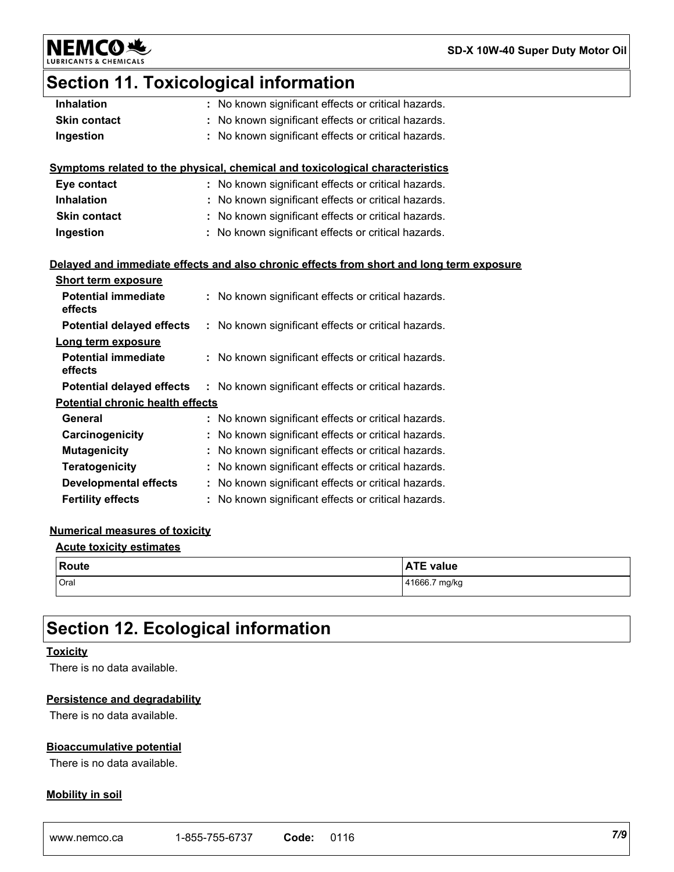NEMCO

**SD-X 10W-40 Super Duty Motor Oil**

# **Section 11. Toxicological information**

| <b>Inhalation</b>                       | : No known significant effects or critical hazards.                                      |
|-----------------------------------------|------------------------------------------------------------------------------------------|
| <b>Skin contact</b>                     | : No known significant effects or critical hazards.                                      |
| Ingestion                               | No known significant effects or critical hazards.                                        |
|                                         |                                                                                          |
|                                         | Symptoms related to the physical, chemical and toxicological characteristics             |
| Eye contact                             | : No known significant effects or critical hazards.                                      |
| <b>Inhalation</b>                       | : No known significant effects or critical hazards.                                      |
| <b>Skin contact</b>                     | No known significant effects or critical hazards.                                        |
| Ingestion                               | : No known significant effects or critical hazards.                                      |
|                                         |                                                                                          |
|                                         | Delayed and immediate effects and also chronic effects from short and long term exposure |
| <b>Short term exposure</b>              |                                                                                          |
| <b>Potential immediate</b>              | : No known significant effects or critical hazards.                                      |
| effects                                 |                                                                                          |
| <b>Potential delayed effects</b>        | : No known significant effects or critical hazards.                                      |
| Long term exposure                      |                                                                                          |
| <b>Potential immediate</b>              | : No known significant effects or critical hazards.                                      |
| effects                                 |                                                                                          |
| <b>Potential delayed effects</b>        | : No known significant effects or critical hazards.                                      |
| <b>Potential chronic health effects</b> |                                                                                          |
| General                                 | : No known significant effects or critical hazards.                                      |
| Carcinogenicity                         | No known significant effects or critical hazards.                                        |
| <b>Mutagenicity</b>                     | : No known significant effects or critical hazards.                                      |
| Teratogenicity                          | : No known significant effects or critical hazards.                                      |
| <b>Developmental effects</b>            | : No known significant effects or critical hazards.                                      |
| <b>Fertility effects</b>                | : No known significant effects or critical hazards.                                      |

#### **Numerical measures of toxicity**

#### **Acute toxicity estimates**

| <b>Route</b> | <b>ATE value</b> |
|--------------|------------------|
| Oral         | 41666.7 mg/kg    |

# **Section 12. Ecological information**

#### **Toxicity**

There is no data available.

#### **Persistence and degradability**

There is no data available.

#### **Bioaccumulative potential**

There is no data available.

#### **Mobility in soil**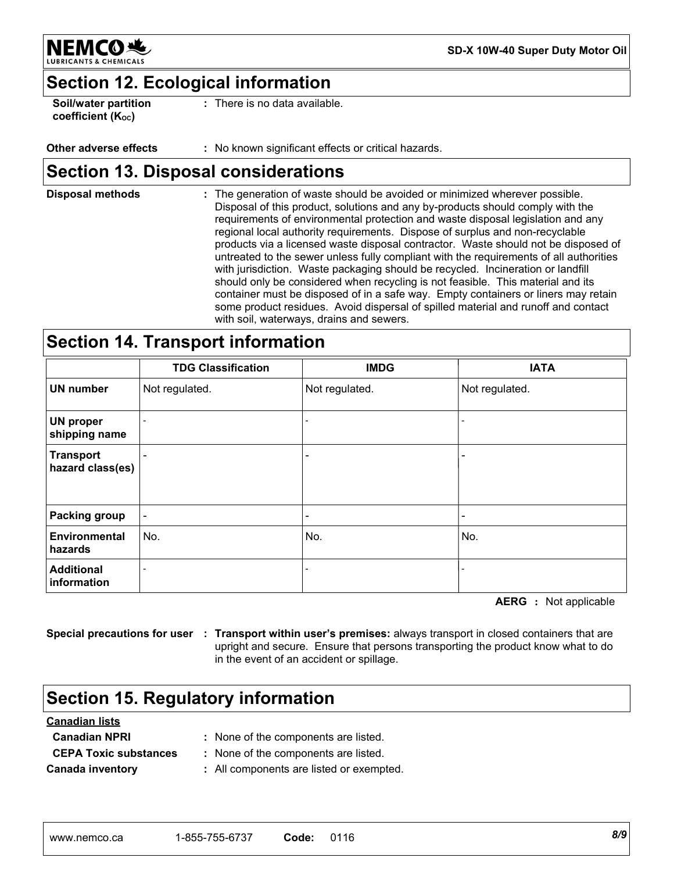

**SD-X 10W-40 Super Duty Motor Oil**

### **Section 12. Ecological information**

**Soil/water partition coefficient (KOC)**

**:** There is no data available.

#### **Other adverse effects :** No known significant effects or critical hazards.

### **Section 13. Disposal considerations**

The generation of waste should be avoided or minimized wherever possible. Disposal of this product, solutions and any by-products should comply with the requirements of environmental protection and waste disposal legislation and any regional local authority requirements. Dispose of surplus and non-recyclable products via a licensed waste disposal contractor. Waste should not be disposed of untreated to the sewer unless fully compliant with the requirements of all authorities with jurisdiction. Waste packaging should be recycled. Incineration or landfill should only be considered when recycling is not feasible. This material and its container must be disposed of in a safe way. Empty containers or liners may retain some product residues. Avoid dispersal of spilled material and runoff and contact with soil, waterways, drains and sewers. **Disposal methods :**

### **Section 14. Transport information**

|                                      | <b>TDG Classification</b> | <b>IMDG</b>    | <b>IATA</b>              |
|--------------------------------------|---------------------------|----------------|--------------------------|
| <b>UN number</b>                     | Not regulated.            | Not regulated. | Not regulated.           |
| <b>UN proper</b><br>shipping name    |                           |                |                          |
| <b>Transport</b><br>hazard class(es) |                           |                | $\overline{\phantom{a}}$ |
| <b>Packing group</b>                 |                           |                | $\overline{\phantom{a}}$ |
| <b>Environmental</b><br>hazards      | No.                       | No.            | No.                      |
| <b>Additional</b><br>information     |                           |                | $\overline{\phantom{a}}$ |

**AERG :** Not applicable

**Special precautions for user : Transport within user's premises:** always transport in closed containers that are upright and secure. Ensure that persons transporting the product know what to do in the event of an accident or spillage.

## **Section 15. Regulatory information**

| <b>Canadian lists</b>        |                                          |  |  |  |  |
|------------------------------|------------------------------------------|--|--|--|--|
| <b>Canadian NPRI</b>         | : None of the components are listed.     |  |  |  |  |
| <b>CEPA Toxic substances</b> | : None of the components are listed.     |  |  |  |  |
| <b>Canada inventory</b>      | : All components are listed or exempted. |  |  |  |  |